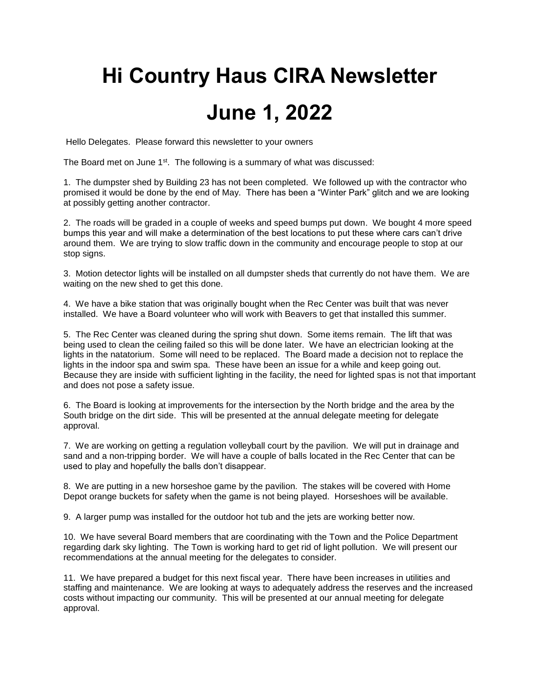## **Hi Country Haus CIRA Newsletter June 1, 2022**

Hello Delegates. Please forward this newsletter to your owners

The Board met on June  $1<sup>st</sup>$ . The following is a summary of what was discussed:

1. The dumpster shed by Building 23 has not been completed. We followed up with the contractor who promised it would be done by the end of May. There has been a "Winter Park" glitch and we are looking at possibly getting another contractor.

2. The roads will be graded in a couple of weeks and speed bumps put down. We bought 4 more speed bumps this year and will make a determination of the best locations to put these where cars can't drive around them. We are trying to slow traffic down in the community and encourage people to stop at our stop signs.

3. Motion detector lights will be installed on all dumpster sheds that currently do not have them. We are waiting on the new shed to get this done.

4. We have a bike station that was originally bought when the Rec Center was built that was never installed. We have a Board volunteer who will work with Beavers to get that installed this summer.

5. The Rec Center was cleaned during the spring shut down. Some items remain. The lift that was being used to clean the ceiling failed so this will be done later. We have an electrician looking at the lights in the natatorium. Some will need to be replaced. The Board made a decision not to replace the lights in the indoor spa and swim spa. These have been an issue for a while and keep going out. Because they are inside with sufficient lighting in the facility, the need for lighted spas is not that important and does not pose a safety issue.

6. The Board is looking at improvements for the intersection by the North bridge and the area by the South bridge on the dirt side. This will be presented at the annual delegate meeting for delegate approval.

7. We are working on getting a regulation volleyball court by the pavilion. We will put in drainage and sand and a non-tripping border. We will have a couple of balls located in the Rec Center that can be used to play and hopefully the balls don't disappear.

8. We are putting in a new horseshoe game by the pavilion. The stakes will be covered with Home Depot orange buckets for safety when the game is not being played. Horseshoes will be available.

9. A larger pump was installed for the outdoor hot tub and the jets are working better now.

10. We have several Board members that are coordinating with the Town and the Police Department regarding dark sky lighting. The Town is working hard to get rid of light pollution. We will present our recommendations at the annual meeting for the delegates to consider.

11. We have prepared a budget for this next fiscal year. There have been increases in utilities and staffing and maintenance. We are looking at ways to adequately address the reserves and the increased costs without impacting our community. This will be presented at our annual meeting for delegate approval.